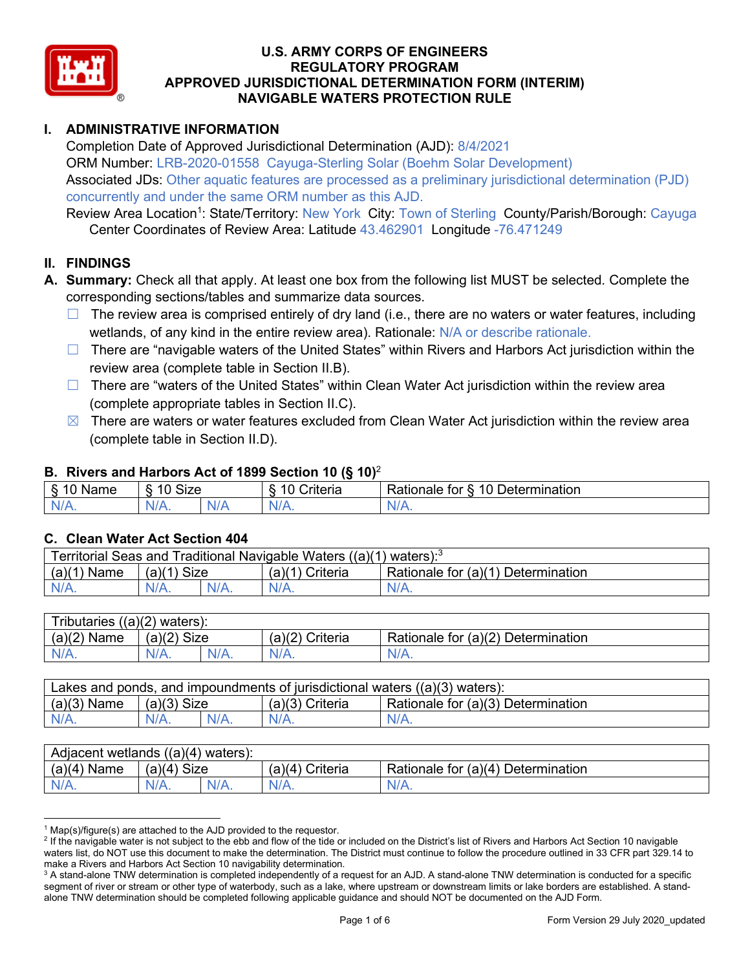

# **I. ADMINISTRATIVE INFORMATION**

Completion Date of Approved Jurisdictional Determination (AJD): 8/4/2021 ORM Number: LRB-2020-01558 Cayuga-Sterling Solar (Boehm Solar Development) Associated JDs: Other aquatic features are processed as a preliminary jurisdictional determination (PJD) concurrently and under the same ORM number as this AJD.

Review Area Location<sup>1</sup>: State/Territory: New York City: Town of Sterling County/Parish/Borough: Cayuga Center Coordinates of Review Area: Latitude 43.462901 Longitude -76.471249

## **II. FINDINGS**

- **A. Summary:** Check all that apply. At least one box from the following list MUST be selected. Complete the corresponding sections/tables and summarize data sources.
	- $\Box$  The review area is comprised entirely of dry land (i.e., there are no waters or water features, including wetlands, of any kind in the entire review area). Rationale: N/A or describe rationale.
	- □ There are "navigable waters of the United States" within Rivers and Harbors Act jurisdiction within the review area (complete table in Section II.B).
	- $\Box$  There are "waters of the United States" within Clean Water Act jurisdiction within the review area (complete appropriate tables in Section II.C).
	- $\boxtimes$  There are waters or water features excluded from Clean Water Act jurisdiction within the review area (complete table in Section II.D).

#### **B. Rivers and Harbors Act of 1899 Section 10 (§ 10)**<sup>2</sup>

| $\sim$<br>Name | $\sim$<br>$\overline{a}$<br>SIZE<br>$\overline{\phantom{a}}$ | $\sim$ $\sim$<br>Criteria | $\overline{\phantom{0}}$<br>10<br>Jetermination<br>tor<br>∢ationale |
|----------------|--------------------------------------------------------------|---------------------------|---------------------------------------------------------------------|
| N<br>.         | $N/A$ .                                                      | N/r<br>11 L               | 11 I V.                                                             |

## **C. Clean Water Act Section 404**

| Traditional Navigable Waters ((a)(1) waters): <sup>3</sup><br>Territorial Seas and |                       |         |                    |                                             |  |  |
|------------------------------------------------------------------------------------|-----------------------|---------|--------------------|---------------------------------------------|--|--|
| (a)(1)<br>Name                                                                     | <b>Size</b><br>(a)(1) |         | Criteria<br>(a)(1) | Rationale for $(a)(1)$ D<br>Ⅰ Determination |  |  |
| $N/A$ .                                                                            | $N/A$ .               | $N/A$ . |                    | $N/A$ .                                     |  |  |

| $((a)(2)$ waters):<br>Tributaries |                |     |                    |                                    |  |  |  |
|-----------------------------------|----------------|-----|--------------------|------------------------------------|--|--|--|
| (a)(2)<br>Name                    | Size<br>(a)(2) |     | (a)(2)<br>Criteria | Rationale for (a)(2) Determination |  |  |  |
| $N/A$ .                           | $N/A$ .        | N/A | $N/A$ .            | N/A.                               |  |  |  |

| Lakes and ponds, and impoundments of jurisdictional waters $((a)(3)$ waters): |               |  |                 |                                    |  |  |
|-------------------------------------------------------------------------------|---------------|--|-----------------|------------------------------------|--|--|
| $(a)(3)$ Name                                                                 | $(a)(3)$ Size |  | (a)(3) Criteria | Rationale for (a)(3) Determination |  |  |
|                                                                               | $N/A$ .       |  | $N/A$ .         | $N/A$ .                            |  |  |

| Adjacent wetlands $((a)(4)$ waters): |                       |         |                    |                                    |  |  |
|--------------------------------------|-----------------------|---------|--------------------|------------------------------------|--|--|
| (a)(4)<br>Name                       | (a)(4)<br><b>Size</b> |         | (a)(4)<br>Criteria | Rationale for (a)(4) Determination |  |  |
| $N/A$ .                              | $N/A$ .               | $N/A$ . |                    | $N/A$ .                            |  |  |

 $1$  Map(s)/figure(s) are attached to the AJD provided to the requestor.

<sup>&</sup>lt;sup>2</sup> If the navigable water is not subject to the ebb and flow of the tide or included on the District's list of Rivers and Harbors Act Section 10 navigable waters list, do NOT use this document to make the determination. The District must continue to follow the procedure outlined in 33 CFR part 329.14 to make a Rivers and Harbors Act Section 10 navigability determination.

<sup>&</sup>lt;sup>3</sup> A stand-alone TNW determination is completed independently of a request for an AJD. A stand-alone TNW determination is conducted for a specific segment of river or stream or other type of waterbody, such as a lake, where upstream or downstream limits or lake borders are established. A standalone TNW determination should be completed following applicable guidance and should NOT be documented on the AJD Form.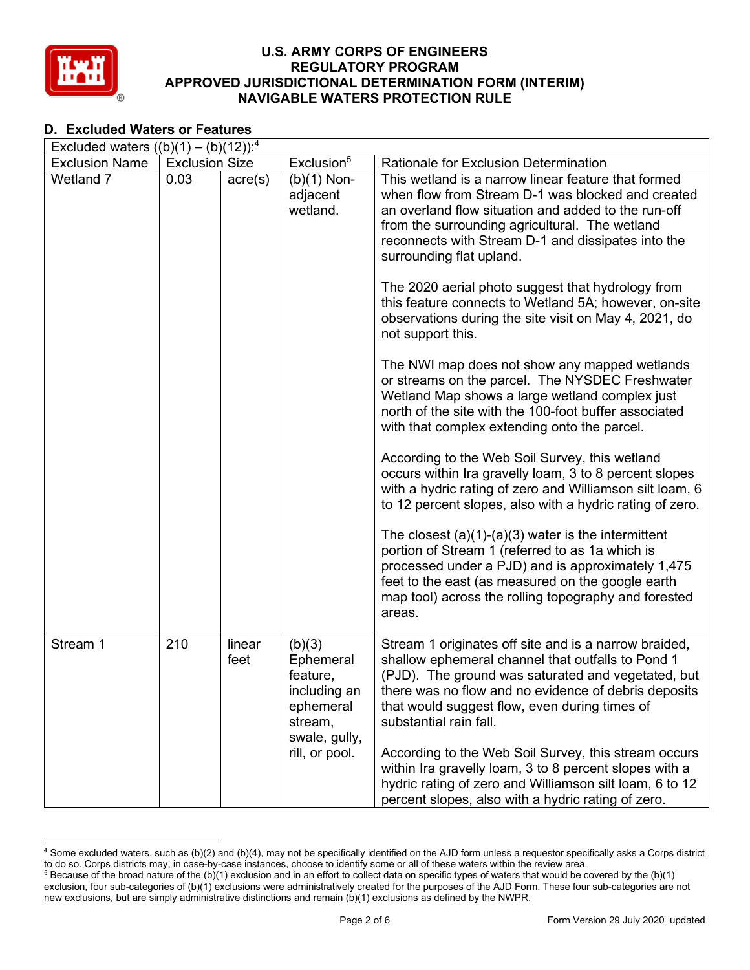

## **D. Excluded Waters or Features**

| Excluded waters $((b)(1) - (b)(12))$ : <sup>4</sup> |                       |                  |                                                                                                            |                                                                                                                                                                                                                                                                                                                                                                                                                                                                                                                                                                                                                                                                                                                                                                                                                                                                                                                                        |  |  |  |
|-----------------------------------------------------|-----------------------|------------------|------------------------------------------------------------------------------------------------------------|----------------------------------------------------------------------------------------------------------------------------------------------------------------------------------------------------------------------------------------------------------------------------------------------------------------------------------------------------------------------------------------------------------------------------------------------------------------------------------------------------------------------------------------------------------------------------------------------------------------------------------------------------------------------------------------------------------------------------------------------------------------------------------------------------------------------------------------------------------------------------------------------------------------------------------------|--|--|--|
| <b>Exclusion Name</b>                               | <b>Exclusion Size</b> |                  | Exclusion <sup>5</sup>                                                                                     | Rationale for Exclusion Determination                                                                                                                                                                                                                                                                                                                                                                                                                                                                                                                                                                                                                                                                                                                                                                                                                                                                                                  |  |  |  |
| Wetland 7                                           | 0.03                  | $\text{acre}(s)$ | $(b)(1)$ Non-<br>adjacent<br>wetland.                                                                      | This wetland is a narrow linear feature that formed<br>when flow from Stream D-1 was blocked and created<br>an overland flow situation and added to the run-off<br>from the surrounding agricultural. The wetland<br>reconnects with Stream D-1 and dissipates into the<br>surrounding flat upland.<br>The 2020 aerial photo suggest that hydrology from<br>this feature connects to Wetland 5A; however, on-site<br>observations during the site visit on May 4, 2021, do<br>not support this.<br>The NWI map does not show any mapped wetlands<br>or streams on the parcel. The NYSDEC Freshwater<br>Wetland Map shows a large wetland complex just<br>north of the site with the 100-foot buffer associated<br>with that complex extending onto the parcel.<br>According to the Web Soil Survey, this wetland<br>occurs within Ira gravelly loam, 3 to 8 percent slopes<br>with a hydric rating of zero and Williamson silt loam, 6 |  |  |  |
|                                                     |                       |                  |                                                                                                            | to 12 percent slopes, also with a hydric rating of zero.<br>The closest $(a)(1)-(a)(3)$ water is the intermittent<br>portion of Stream 1 (referred to as 1a which is<br>processed under a PJD) and is approximately 1,475<br>feet to the east (as measured on the google earth<br>map tool) across the rolling topography and forested<br>areas.                                                                                                                                                                                                                                                                                                                                                                                                                                                                                                                                                                                       |  |  |  |
| Stream 1                                            | 210                   | linear<br>feet   | (b)(3)<br>Ephemeral<br>feature,<br>including an<br>ephemeral<br>stream,<br>swale, gully,<br>rill, or pool. | Stream 1 originates off site and is a narrow braided,<br>shallow ephemeral channel that outfalls to Pond 1<br>(PJD). The ground was saturated and vegetated, but<br>there was no flow and no evidence of debris deposits<br>that would suggest flow, even during times of<br>substantial rain fall.<br>According to the Web Soil Survey, this stream occurs<br>within Ira gravelly loam, 3 to 8 percent slopes with a<br>hydric rating of zero and Williamson silt loam, 6 to 12<br>percent slopes, also with a hydric rating of zero.                                                                                                                                                                                                                                                                                                                                                                                                 |  |  |  |

<sup>4</sup> Some excluded waters, such as (b)(2) and (b)(4), may not be specifically identified on the AJD form unless a requestor specifically asks a Corps district to do so. Corps districts may, in case-by-case instances, choose to identify some or all of these waters within the review area.  $5$  Because of the broad nature of the (b)(1) exclusion and in an effort to collect data on specific types of waters that would be covered by the (b)(1)

exclusion, four sub-categories of (b)(1) exclusions were administratively created for the purposes of the AJD Form. These four sub-categories are not new exclusions, but are simply administrative distinctions and remain (b)(1) exclusions as defined by the NWPR.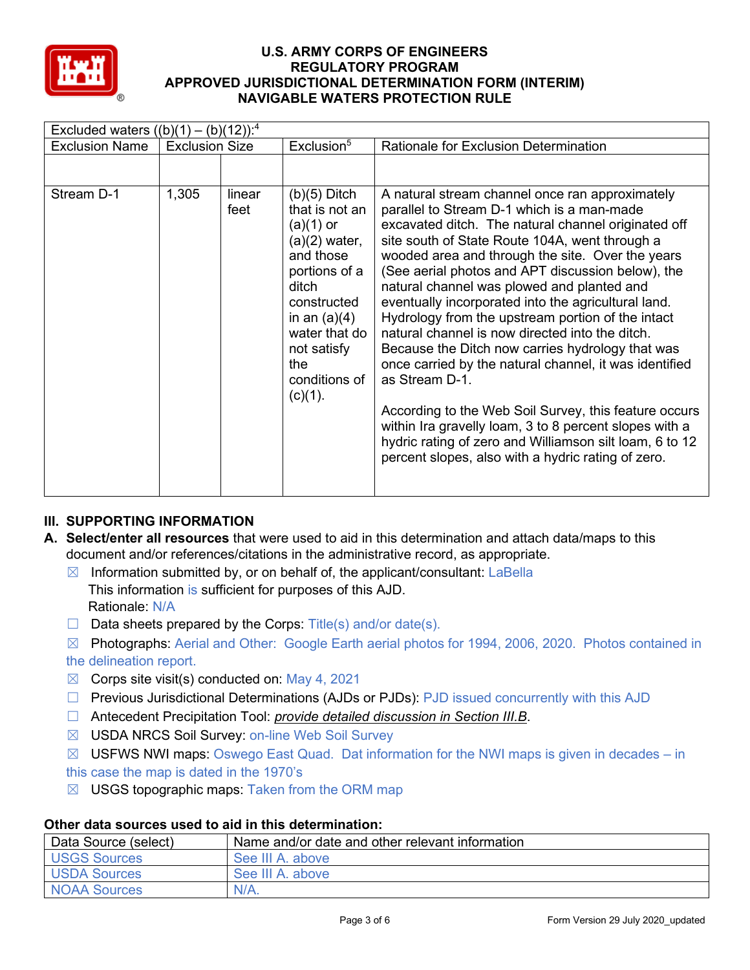

| Excluded waters $((b)(1) - (b)(12))$ : <sup>4</sup> |                       |                |                                                                                                                                            |                                                                                                                                                                                                                                                                                                                                                                                                                                                                           |  |  |  |
|-----------------------------------------------------|-----------------------|----------------|--------------------------------------------------------------------------------------------------------------------------------------------|---------------------------------------------------------------------------------------------------------------------------------------------------------------------------------------------------------------------------------------------------------------------------------------------------------------------------------------------------------------------------------------------------------------------------------------------------------------------------|--|--|--|
| <b>Exclusion Name</b>                               | <b>Exclusion Size</b> |                | Exclusion <sup>5</sup>                                                                                                                     | <b>Rationale for Exclusion Determination</b>                                                                                                                                                                                                                                                                                                                                                                                                                              |  |  |  |
| Stream D-1                                          | 1,305                 | linear<br>feet | $(b)(5)$ Ditch<br>that is not an<br>$(a)(1)$ or<br>$(a)(2)$ water,<br>and those<br>portions of a<br>ditch<br>constructed<br>in an $(a)(4)$ | A natural stream channel once ran approximately<br>parallel to Stream D-1 which is a man-made<br>excavated ditch. The natural channel originated off<br>site south of State Route 104A, went through a<br>wooded area and through the site. Over the years<br>(See aerial photos and APT discussion below), the<br>natural channel was plowed and planted and<br>eventually incorporated into the agricultural land.<br>Hydrology from the upstream portion of the intact |  |  |  |
|                                                     |                       |                | water that do<br>not satisfy<br>the<br>conditions of                                                                                       | natural channel is now directed into the ditch.<br>Because the Ditch now carries hydrology that was<br>once carried by the natural channel, it was identified<br>as Stream D-1.                                                                                                                                                                                                                                                                                           |  |  |  |
|                                                     |                       |                | $(c)(1)$ .                                                                                                                                 | According to the Web Soil Survey, this feature occurs<br>within Ira gravelly loam, 3 to 8 percent slopes with a<br>hydric rating of zero and Williamson silt loam, 6 to 12<br>percent slopes, also with a hydric rating of zero.                                                                                                                                                                                                                                          |  |  |  |

# **III. SUPPORTING INFORMATION**

- **A. Select/enter all resources** that were used to aid in this determination and attach data/maps to this document and/or references/citations in the administrative record, as appropriate.
	- $\boxtimes$  Information submitted by, or on behalf of, the applicant/consultant: LaBella This information is sufficient for purposes of this AJD. Rationale: N/A
	- $\Box$  Data sheets prepared by the Corps: Title(s) and/or date(s).
	- ☒ Photographs: Aerial and Other: Google Earth aerial photos for 1994, 2006, 2020. Photos contained in the delineation report.
	- $\boxtimes$  Corps site visit(s) conducted on: May 4, 2021
	- $\Box$  Previous Jurisdictional Determinations (AJDs or PJDs): PJD issued concurrently with this AJD
	- ☐ Antecedent Precipitation Tool: *provide detailed discussion in Section III.B*.
	- ☒ USDA NRCS Soil Survey: on-line Web Soil Survey
	- $\boxtimes$  USFWS NWI maps: Oswego East Quad. Dat information for the NWI maps is given in decades in this case the map is dated in the 1970's
	- $\boxtimes$  USGS topographic maps: Taken from the ORM map

## **Other data sources used to aid in this determination:**

| Data Source (select) | Name and/or date and other relevant information |
|----------------------|-------------------------------------------------|
| <b>USGS Sources</b>  | See III A. above                                |
| <b>USDA Sources</b>  | See III A. above                                |
| <b>NOAA Sources</b>  | $N/A$ .                                         |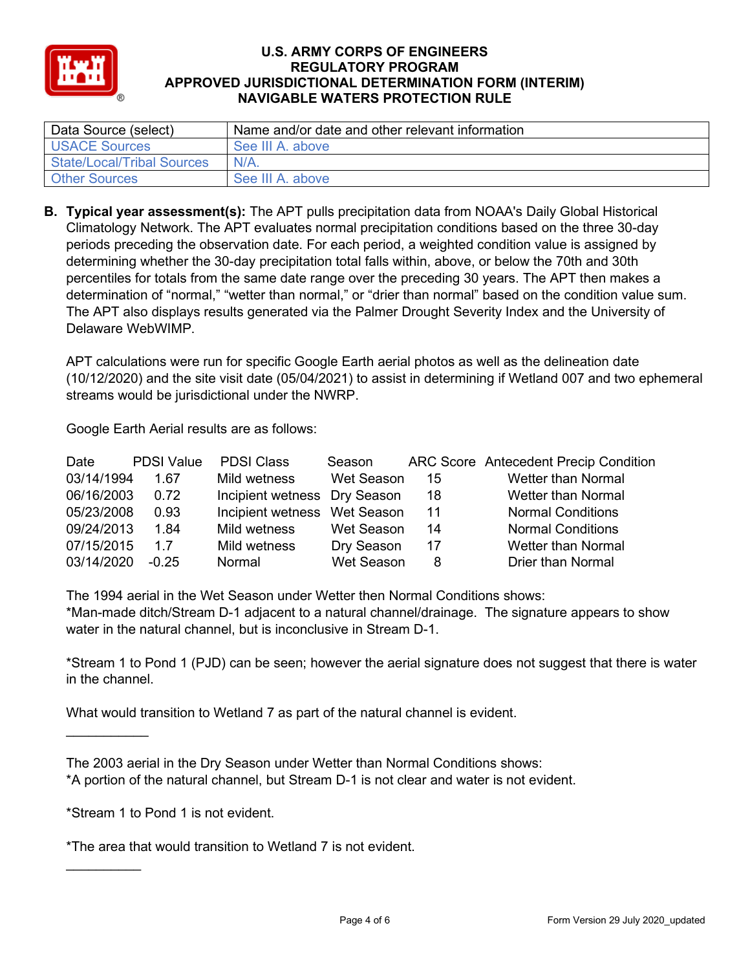

| Data Source (select)              | Name and/or date and other relevant information |
|-----------------------------------|-------------------------------------------------|
| USACE Sources                     | See III A. above                                |
| <b>State/Local/Tribal Sources</b> | $N/A$ .                                         |
| <b>Other Sources</b>              | See III A. above                                |

**B. Typical year assessment(s):** The APT pulls precipitation data from NOAA's Daily Global Historical Climatology Network. The APT evaluates normal precipitation conditions based on the three 30-day periods preceding the observation date. For each period, a weighted condition value is assigned by determining whether the 30-day precipitation total falls within, above, or below the 70th and 30th percentiles for totals from the same date range over the preceding 30 years. The APT then makes a determination of "normal," "wetter than normal," or "drier than normal" based on the condition value sum. The APT also displays results generated via the Palmer Drought Severity Index and the University of Delaware WebWIMP.

APT calculations were run for specific Google Earth aerial photos as well as the delineation date (10/12/2020) and the site visit date (05/04/2021) to assist in determining if Wetland 007 and two ephemeral streams would be jurisdictional under the NWRP.

Google Earth Aerial results are as follows:

| Date       | <b>PDSI Value</b> | <b>PDSI Class</b>            | Season            |     | <b>ARC Score Antecedent Precip Condition</b> |
|------------|-------------------|------------------------------|-------------------|-----|----------------------------------------------|
| 03/14/1994 | 1.67              | Mild wetness                 | Wet Season        | 15  | <b>Wetter than Normal</b>                    |
| 06/16/2003 | 0.72              | Incipient wetness Dry Season |                   | 18  | <b>Wetter than Normal</b>                    |
| 05/23/2008 | 0.93              | Incipient wetness Wet Season |                   | 11  | <b>Normal Conditions</b>                     |
| 09/24/2013 | 1.84              | Mild wetness                 | Wet Season        | 14  | <b>Normal Conditions</b>                     |
| 07/15/2015 | 17                | Mild wetness                 | Dry Season        | -17 | <b>Wetter than Normal</b>                    |
| 03/14/2020 | $-0.25$           | Normal                       | <b>Wet Season</b> | 8   | <b>Drier than Normal</b>                     |

The 1994 aerial in the Wet Season under Wetter then Normal Conditions shows: \*Man-made ditch/Stream D-1 adjacent to a natural channel/drainage. The signature appears to show water in the natural channel, but is inconclusive in Stream D-1.

\*Stream 1 to Pond 1 (PJD) can be seen; however the aerial signature does not suggest that there is water in the channel.

What would transition to Wetland 7 as part of the natural channel is evident.

\*Stream 1 to Pond 1 is not evident.

 $\frac{1}{2}$ 

 $\overline{\phantom{a}}$  , where  $\overline{\phantom{a}}$ 

\*The area that would transition to Wetland 7 is not evident.

The 2003 aerial in the Dry Season under Wetter than Normal Conditions shows: \*A portion of the natural channel, but Stream D-1 is not clear and water is not evident.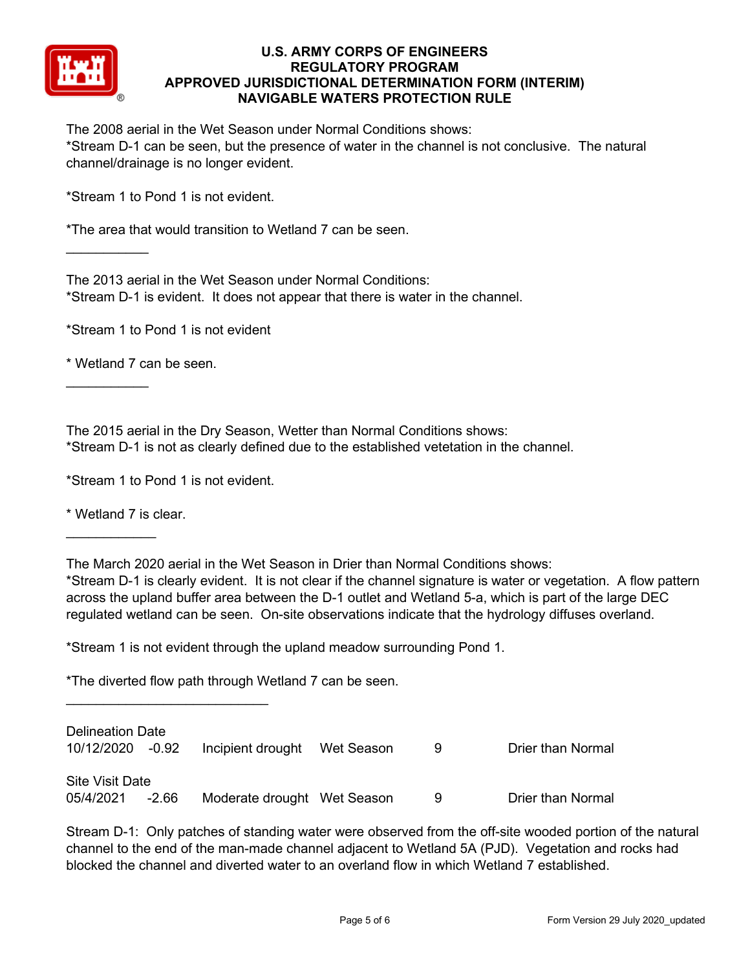

The 2008 aerial in the Wet Season under Normal Conditions shows: \*Stream D-1 can be seen, but the presence of water in the channel is not conclusive. The natural channel/drainage is no longer evident.

\*Stream 1 to Pond 1 is not evident.

\*The area that would transition to Wetland 7 can be seen.

The 2013 aerial in the Wet Season under Normal Conditions: \*Stream D-1 is evident. It does not appear that there is water in the channel.

\*Stream 1 to Pond 1 is not evident

\* Wetland 7 can be seen.

 $\overline{\phantom{a}}$  , where  $\overline{\phantom{a}}$ 

 $\overline{\phantom{a}}$  , where  $\overline{\phantom{a}}$ 

The 2015 aerial in the Dry Season, Wetter than Normal Conditions shows: \*Stream D-1 is not as clearly defined due to the established vetetation in the channel.

\*Stream 1 to Pond 1 is not evident.

 $\overline{\phantom{a}}$  , where  $\overline{\phantom{a}}$  , where  $\overline{\phantom{a}}$  , where  $\overline{\phantom{a}}$ 

\* Wetland 7 is clear.

 $\frac{1}{2}$ 

The March 2020 aerial in the Wet Season in Drier than Normal Conditions shows:

\*Stream D-1 is clearly evident. It is not clear if the channel signature is water or vegetation. A flow pattern across the upland buffer area between the D-1 outlet and Wetland 5-a, which is part of the large DEC regulated wetland can be seen. On-site observations indicate that the hydrology diffuses overland.

\*Stream 1 is not evident through the upland meadow surrounding Pond 1.

\*The diverted flow path through Wetland 7 can be seen.

| <b>Delineation Date</b><br>10/12/2020 -0.92 |         |                             | -9 | <b>Drier than Normal</b> |
|---------------------------------------------|---------|-----------------------------|----|--------------------------|
| <b>Site Visit Date</b>                      |         |                             |    |                          |
| 05/4/2021                                   | $-2.66$ | Moderate drought Wet Season | -9 | <b>Drier than Normal</b> |

Stream D-1: Only patches of standing water were observed from the off-site wooded portion of the natural channel to the end of the man-made channel adjacent to Wetland 5A (PJD). Vegetation and rocks had blocked the channel and diverted water to an overland flow in which Wetland 7 established.